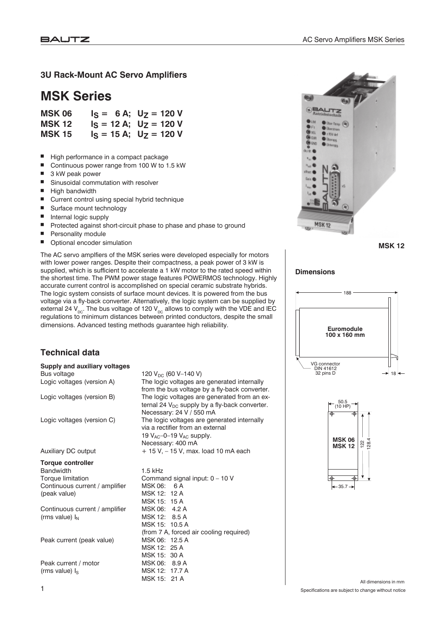#### **3U Rack-Mount AC Servo Amplifiers**

# **MSK Series**

| <b>MSK 06</b> | $I_S = 6 A$ ; $U_Z = 120 V$  |
|---------------|------------------------------|
| <b>MSK 12</b> | $I_S = 12 A$ ; $U_Z = 120 V$ |
| <b>MSK 15</b> | $I_S = 15 A$ ; $U_Z = 120 V$ |

- High performance in a compact package
- Continuous power range from 100 W to 1.5 kW
- 3 kW peak power
- Sinusoidal commutation with resolver
- High bandwidth
- Current control using special hybrid technique
- Surface mount technology
- Internal logic supply
- Protected against short-circuit phase to phase and phase to ground
- **Personality module**
- Optional encoder simulation

The AC servo amplfiers of the MSK series were developed especially for motors with lower power ranges. Despite their compactness, a peak power of 3 kW is supplied, which is sufficient to accelerate a 1 kW motor to the rated speed within the shortest time. The PWM power stage features POWERMOS technology. Highly accurate current control is accomplished on special ceramic substrate hybrids. The logic system consists of surface mount devices. It is powered from the bus voltage via a fly-back converter. Alternatively, the logic system can be supplied by external 24  $V_{\text{DC}}$ . The bus voltage of 120  $V_{\text{DC}}$  allows to comply with the VDE and IEC regulations to minimum distances between printed conductors, despite the small dimensions. Advanced testing methods guarantee high reliability.

# **GRAUTZ Uberers**  $\bullet$  : 15V det ,,, **O** Item **GMT** ö **MSK12**

**MSK 12**

#### **Dimensions**





**Supply and auxiliary voltages** Bus voltage  $120 V_{DC}$  (60 V–140 V)<br>
Logic voltages (version A) The logic voltages are

**Technical data**

Logic voltages (version B) The logic voltages are generated from an ex-

Logic voltages (version C) The logic voltages are generated internally

Auxiliary DC output  $+ 15 V, - 15 V,$  max. load 10 mA each

#### **Torque controller**

Bandwidth 1.5 kHz Continuous current / amplifier MSK 06: 6 A (peak value) MSK 12: 12 A

Continuous current / amplifier MSK 06: 4.2 A  $(rms value) \, I_N$  MSK 12: 8.5 A

Peak current (peak value) MSK 06: 12.5 A

Peak current / motor MSK 06: 8.9 A (rms value)  $I_S$  MSK 12: 17.7 A

Torque limitation Command signal input: 0 – 10 V MSK 15: 15 A MSK 15: 10.5 A (from 7 A, forced air cooling required) MSK 12: 25 A MSK 15: 30 A MSK 15: 21 A

The logic voltages are generated internally from the bus voltage by a fly-back converter.

ternal 24  $V_{DC}$  supply by a fly-back converter.

Necessary: 24 V / 550 mA

via a rectifier from an external 19  $V_{AC}$ -0-19  $V_{AC}$  supply. Necessary: 400 mA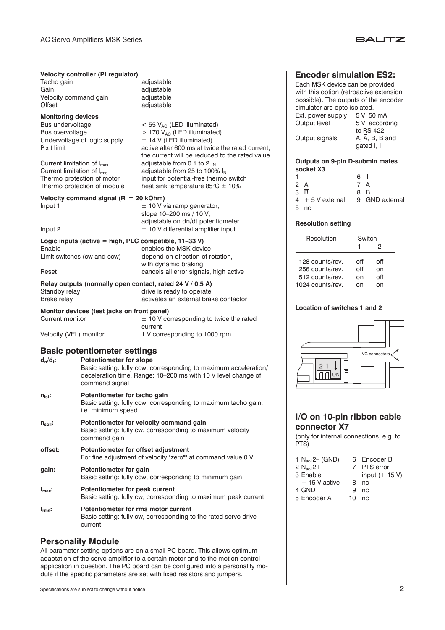#### **BAUTZ**

#### **Velocity controller (PI regulator)**

Tacho gain adjustable Gain adjustable<br>Velocity command gain by adjustable Velocity command gain Offset adjustable

# **Monitoring devices**

Bus undervoltage  $\leq 55 \text{ V}_{AC}$  (LED illuminated)<br>Bus overvoltage  $> 170 \text{ V}_{AC}$  (LED illuminated) Undervoltage of logic supply  $I<sup>2</sup>$  x t limit

Current limitation of  $I_{\text{max}}$  adjustable from 0.1 to 2  $I_N$ <br>Current limitation of  $I_{\text{rms}}$  adjustable from 25 to 1009 Current limitation of  $I_{rms}$  adjustable from 25 to 100%  $I_N$ <br>Thermo protection of motor input for potential-free thermo Thermo protection of module heat sink temperature  $85^{\circ}$ C  $\pm$  10%

**Velocity command signal (R<sub>i</sub> = 20 kOhm)** Input 1  $\pm$  10 V via ramp generator.

#### Input 2  $\pm$  10 V differential amplifier input

**Logic inputs (active = high, PLC compatible, 11–33 V)** Enable **Enable** enables the MSK device Limit switches (cw and ccw) depend on direction of rotation,

#### Reset **Cancels all error signals**, high active

#### **Relay outputs (normally open contact, rated 24 V / 0.5 A)** Standby relay example of the standby relay drive is ready to operate

Brake relay activates an external brake contactor

**Monitor devices (test jacks on front panel)**

Current monitor  $\pm 10$  V corresponding to twice the rated

current Velocity (VEL) monitor 1 V corresponding to 1000 rpm

 $> 170$  V<sub>AC</sub> (LED illuminated)<br> $\pm 14$  V (LED illuminated)

slope 10–200 ms / 10 V,

with dynamic braking

active after 600 ms at twice the rated current; the current will be reduced to the rated value

input for potential-free thermo switch

adjustable on dn/dt potentiometer

#### **Basic potentiometer settings**

d<sub>n</sub>/d<sub>t</sub>: Potentiometer for slope Basic setting: fully ccw, corresponding to maximum acceleration/ deceleration time. Range: 10–200 ms with 10 V level change of command signal

### **nist: Potentiometer for tacho gain**

Basic setting: fully ccw, corresponding to maximum tacho gain, i.e. minimum speed.

- **nsoll: Potentiometer for velocity command gain** Basic setting: fully cw, corresponding to maximum velocity command gain
- **offset: Potentiometer for offset adjustment** For fine adjustment of velocity "zero"" at command value 0 V **gain: Potentiometer for gain**

Basic setting: fully ccw, corresponding to minimum gain

**Imax: Potentiometer for peak current** Basic setting: fully cw, corresponding to maximum peak current **Irms: Potentiometer for rms motor current**

Basic setting: fully cw, corresponding to the rated servo drive current

#### **Personality Module**

All parameter setting options are on a small PC board. This allows optimum adaptation of the servo amplifier to a certain motor and to the motion control application in question. The PC board can be configured into a personality module if the specific parameters are set with fixed resistors and jumpers.

#### **Encoder simulation ES2:**

Each MSK device can be provided with this option (retroactive extension possible). The outputs of the encoder simulator are opto-isolated. Ext. power supply 5 V, 50 mA

| Output level   | 5 V, according |  |  |
|----------------|----------------|--|--|
|                | to RS-422      |  |  |
| Output signals | A, A, B, B and |  |  |
|                | gated I, I     |  |  |

#### **Outputs on 9-pin D-submin mates socket X3**

| $1$ T              | 6 I |                |
|--------------------|-----|----------------|
| $2\overline{A}$    | 7 A |                |
| $3\overline{B}$    | 8 B |                |
| $4 + 5$ V external |     | 9 GND external |
| 5 nc               |     |                |

#### **Resolution setting**

| Resolution       | Switch |     |  |
|------------------|--------|-----|--|
|                  |        | 2   |  |
| 128 counts/rev.  | off    | оff |  |
| 256 counts/rev.  | off    | on  |  |
| 512 counts/rev.  | on     | оff |  |
| 1024 counts/rev. |        |     |  |

#### **Location of switches 1 and 2**



### **I/O on 10-pin ribbon cable connector X7**

(only for internal connections, e.g. to PTS)

| 1 $N_{\text{sol}}$ (GND) |    | 6 Encoder B      |
|--------------------------|----|------------------|
| 2 $N_{\text{coll}}2+$    |    | 7 PTS error      |
| 3 Enable                 |    | input $(+ 15 V)$ |
| $+15V$ active            | 8  | nc               |
| 4 GND                    | я  | n <sub>C</sub>   |
| 5 Encoder A              | 10 | nc.              |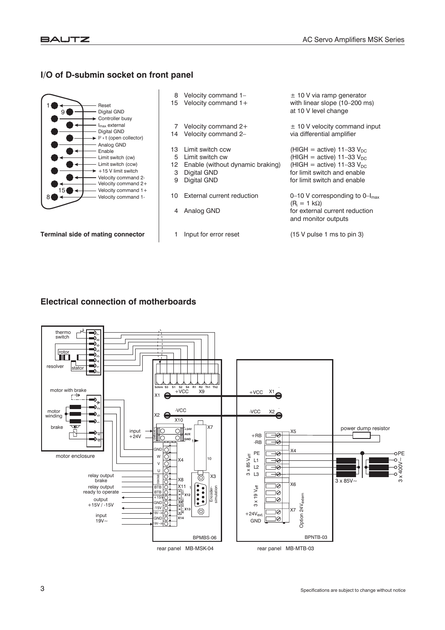### **I/O of D-submin socket on front panel**



**Terminal side of mating connector**

- 
- 
- 
- 
- 
- 12 Enable (without dynamic braking)<br>3 Digital GND
- 
- 10 External current reduction  $0-10$  V corresponding to  $0-I_{\text{max}}$
- 
- 

8 Velocity command 1–  $\pm$  10 V via ramp generator<br>15 Velocity command 1+ with linear slope (10–200 m with linear slope  $(10-200 \text{ ms})$ at 10 V level change

7 Velocity command  $2+$   $\pm$  10 V velocity command input 14 Velocity command 2-<br>
via differential amplifier

13 Limit switch ccw  $(HIGH = active)$  11–33  $V_{DC}$ 5 Limit switch cw  $(HIGH = active)$  11–33 V<sub>DC</sub><br>12 Enable (without dynamic braking) (HIGH = active) 11–33 V<sub>DC</sub> Digital GND for limit switch and enable<br>Digital GND for limit switch and enable 9 Digital GND **for limit switch and enable** 

 $(R_i = 1 k\Omega)$ 4 Analog GND **for external current reduction** and monitor outputs

1 Input for error reset (15 V pulse 1 ms to pin 3)

#### **Electrical connection of motherboards**

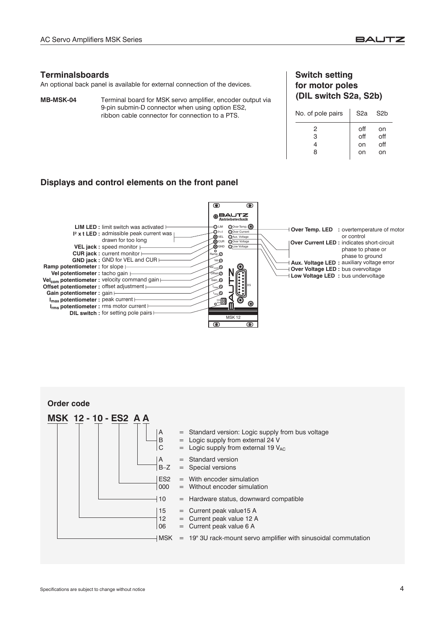#### **Terminalsboards**

An optional back panel is available for external connection of the devices.

**MB-MSK-04** Terminal board for MSK servo amplifier, encoder output via 9-pin submin-D connector when using option ES2, ribbon cable connector for connection to a PTS.

#### **Switch setting for motor poles (DIL switch S2a, S2b)**

| No. of pole pairs | S <sub>2a</sub>        | S <sub>2</sub> b       |
|-------------------|------------------------|------------------------|
| 2<br>З<br>8       | off<br>off<br>on<br>on | on<br>off<br>off<br>on |
|                   |                        |                        |

#### **Displays and control elements on the front panel**



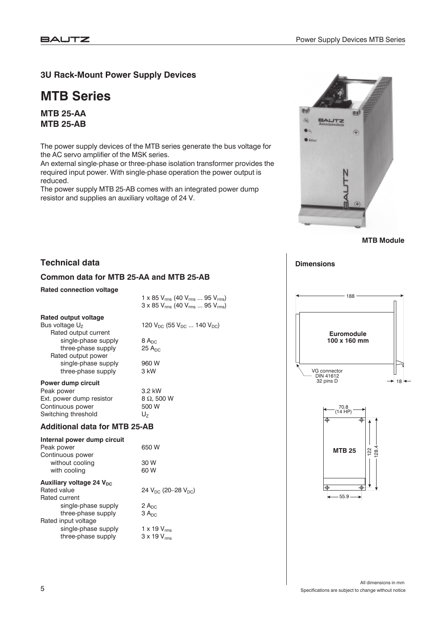### **3U Rack-Mount Power Supply Devices**

# **MTB Series**

**MTB 25-AA MTB 25-AB**

The power supply devices of the MTB series generate the bus voltage for the AC servo amplifier of the MSK series.

An external single-phase or three-phase isolation transformer provides the required input power. With single-phase operation the power output is reduced.

The power supply MTB 25-AB comes with an integrated power dump resistor and supplies an auxiliary voltage of 24 V.



**MTB Module**

#### **Common data for MTB 25-AA and MTB 25-AB**

#### **Rated connection voltage**

**Technical data**

1 x 85  $V_{rms}$  (40  $V_{rms}$  ... 95  $V_{rms}$ )  $3 \times 85$  V<sub>rms</sub> (40 V<sub>rms</sub> ... 95 V<sub>rms</sub>)

| <b>Rated output voltage</b> |                                          |
|-----------------------------|------------------------------------------|
| Bus voltage $U_7$           | 120 $V_{DC}$ (55 $V_{DC}$ 140 $V_{DC}$ ) |
| Rated output current        |                                          |
| single-phase supply         | $8A_{DC}$                                |
| three-phase supply          | $25$ A <sub>nc</sub>                     |
| Rated output power          |                                          |
| single-phase supply         | 960 W                                    |
| three-phase supply          | $3$ kW                                   |
|                             |                                          |

#### **Power dump circuit**

Peak power  $\begin{array}{r} 3.2 \text{ kW} \\ \text{Ext. power dump resistor} \end{array}$   $\begin{array}{r} 3.2 \text{ kW} \\ 8 \Omega.500 \text{ W} \end{array}$ Ext. power dump resistor 8  $\Omega$ , 50<br>Continuous power 500 W Continuous power Switching threshold  $U_7$ 

#### **Additional data for MTB 25-AB**

| Internal power dump circuit          |                                |
|--------------------------------------|--------------------------------|
| Peak power                           | 650 W                          |
| Continuous power                     |                                |
| without cooling                      | 30 W                           |
| with cooling                         | 60 W                           |
| Auxiliary voltage 24 V <sub>nc</sub> |                                |
| Rated value                          | 24 $V_{DC}$ (20–28 $V_{DC}$ )  |
| Rated current                        |                                |
| single-phase supply                  | 2A <sub>DC</sub>               |
| three-phase supply                   | 3 A <sub>DC</sub>              |
| Rated input voltage                  |                                |
| single-phase supply                  | 1 x 19 $V_{\rm rms}$           |
| three-phase supply                   | $3 \times 19$ V <sub>rms</sub> |



**Dimensions**